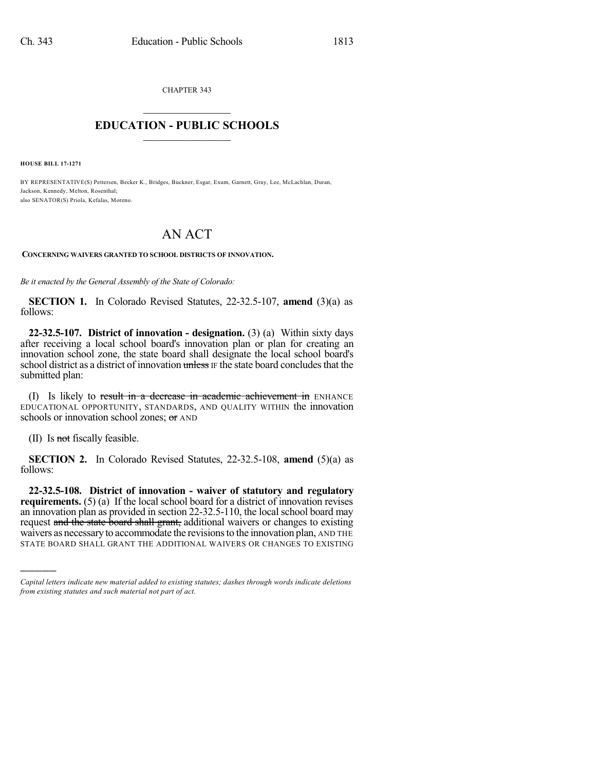CHAPTER 343

## $\mathcal{L}_\text{max}$  . The set of the set of the set of the set of the set of the set of the set of the set of the set of the set of the set of the set of the set of the set of the set of the set of the set of the set of the set **EDUCATION - PUBLIC SCHOOLS**  $\_$   $\_$   $\_$   $\_$   $\_$   $\_$   $\_$   $\_$   $\_$

**HOUSE BILL 17-1271**

BY REPRESENTATIVE(S) Pettersen, Becker K., Bridges, Buckner, Esgar, Exum, Garnett, Gray, Lee, McLachlan, Duran, Jackson, Kennedy, Melton, Rosenthal; also SENATOR(S) Priola, Kefalas, Moreno.

## AN ACT

**CONCERNING WAIVERS GRANTED TO SCHOOL DISTRICTS OF INNOVATION.**

*Be it enacted by the General Assembly of the State of Colorado:*

**SECTION 1.** In Colorado Revised Statutes, 22-32.5-107, **amend** (3)(a) as follows:

**22-32.5-107. District of innovation - designation.** (3) (a) Within sixty days after receiving a local school board's innovation plan or plan for creating an innovation school zone, the state board shall designate the local school board's school district as a district of innovation unless IF the state board concludes that the submitted plan:

(I) Is likely to result in a decrease in academic achievement in ENHANCE EDUCATIONAL OPPORTUNITY, STANDARDS, AND QUALITY WITHIN the innovation schools or innovation school zones; or AND

(II) Is not fiscally feasible.

)))))

**SECTION 2.** In Colorado Revised Statutes, 22-32.5-108, **amend** (5)(a) as follows:

**22-32.5-108. District of innovation - waiver of statutory and regulatory requirements.** (5) (a) If the local school board for a district of innovation revises an innovation plan as provided in section 22-32.5-110, the local school board may request and the state board shall grant, additional waivers or changes to existing waivers as necessary to accommodate the revisions to the innovation plan, AND THE STATE BOARD SHALL GRANT THE ADDITIONAL WAIVERS OR CHANGES TO EXISTING

*Capital letters indicate new material added to existing statutes; dashes through words indicate deletions from existing statutes and such material not part of act.*